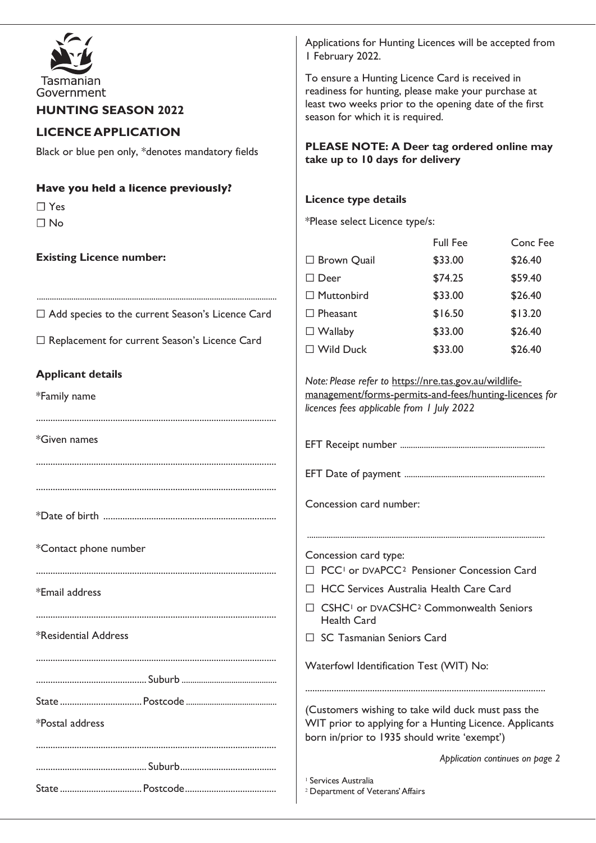|                                                         | Applications for Hunting Licences will be accepted from<br>I February 2022.<br>To ensure a Hunting Licence Card is received in<br>readiness for hunting, please make your purchase at<br>least two weeks prior to the opening date of the first<br>season for which it is required. |                 |                                 |
|---------------------------------------------------------|-------------------------------------------------------------------------------------------------------------------------------------------------------------------------------------------------------------------------------------------------------------------------------------|-----------------|---------------------------------|
| Tasmanian<br>Government                                 |                                                                                                                                                                                                                                                                                     |                 |                                 |
| <b>HUNTING SEASON 2022</b>                              |                                                                                                                                                                                                                                                                                     |                 |                                 |
| <b>LICENCE APPLICATION</b>                              |                                                                                                                                                                                                                                                                                     |                 |                                 |
| Black or blue pen only, *denotes mandatory fields       | PLEASE NOTE: A Deer tag ordered online may<br>take up to 10 days for delivery                                                                                                                                                                                                       |                 |                                 |
| Have you held a licence previously?                     |                                                                                                                                                                                                                                                                                     |                 |                                 |
| $\Box$ Yes                                              | Licence type details                                                                                                                                                                                                                                                                |                 |                                 |
| $\Box$ No                                               | *Please select Licence type/s:                                                                                                                                                                                                                                                      |                 |                                 |
| <b>Existing Licence number:</b>                         |                                                                                                                                                                                                                                                                                     | <b>Full Fee</b> | Conc Fee                        |
|                                                         | □ Brown Quail                                                                                                                                                                                                                                                                       | \$33.00         | \$26.40                         |
|                                                         | $\Box$ Deer                                                                                                                                                                                                                                                                         | \$74.25         | \$59.40                         |
|                                                         | $\Box$ Muttonbird                                                                                                                                                                                                                                                                   | \$33.00         | \$26.40                         |
| $\Box$ Add species to the current Season's Licence Card | $\Box$ Pheasant                                                                                                                                                                                                                                                                     | \$16.50         | \$13.20                         |
| □ Replacement for current Season's Licence Card         | $\Box$ Wallaby                                                                                                                                                                                                                                                                      | \$33.00         | \$26.40                         |
|                                                         | $\square$ Wild Duck                                                                                                                                                                                                                                                                 | \$33.00         | \$26.40                         |
| <b>Applicant details</b>                                | Note: Please refer to https://nre.tas.gov.au/wildlife-                                                                                                                                                                                                                              |                 |                                 |
| *Family name                                            | management/forms-permits-and-fees/hunting-licences for<br>licences fees applicable from 1 July 2022                                                                                                                                                                                 |                 |                                 |
| *Given names                                            |                                                                                                                                                                                                                                                                                     |                 |                                 |
|                                                         | EFT Date of payment                                                                                                                                                                                                                                                                 |                 |                                 |
|                                                         | Concession card number:                                                                                                                                                                                                                                                             |                 |                                 |
| *Contact phone number                                   | Concession card type:                                                                                                                                                                                                                                                               |                 |                                 |
|                                                         | PCC <sup>1</sup> or DVAPCC <sup>2</sup> Pensioner Concession Card                                                                                                                                                                                                                   |                 |                                 |
| *Email address                                          | □ HCC Services Australia Health Care Card                                                                                                                                                                                                                                           |                 |                                 |
|                                                         | CSHC <sup>1</sup> or DVACSHC <sup>2</sup> Commonwealth Seniors<br><b>Health Card</b>                                                                                                                                                                                                |                 |                                 |
|                                                         |                                                                                                                                                                                                                                                                                     |                 |                                 |
| *Residential Address                                    | □ SC Tasmanian Seniors Card                                                                                                                                                                                                                                                         |                 |                                 |
|                                                         | Waterfowl Identification Test (WIT) No:                                                                                                                                                                                                                                             |                 |                                 |
|                                                         |                                                                                                                                                                                                                                                                                     |                 |                                 |
| *Postal address                                         | (Customers wishing to take wild duck must pass the<br>WIT prior to applying for a Hunting Licence. Applicants<br>born in/prior to 1935 should write 'exempt')                                                                                                                       |                 |                                 |
|                                                         |                                                                                                                                                                                                                                                                                     |                 | Application continues on page 2 |